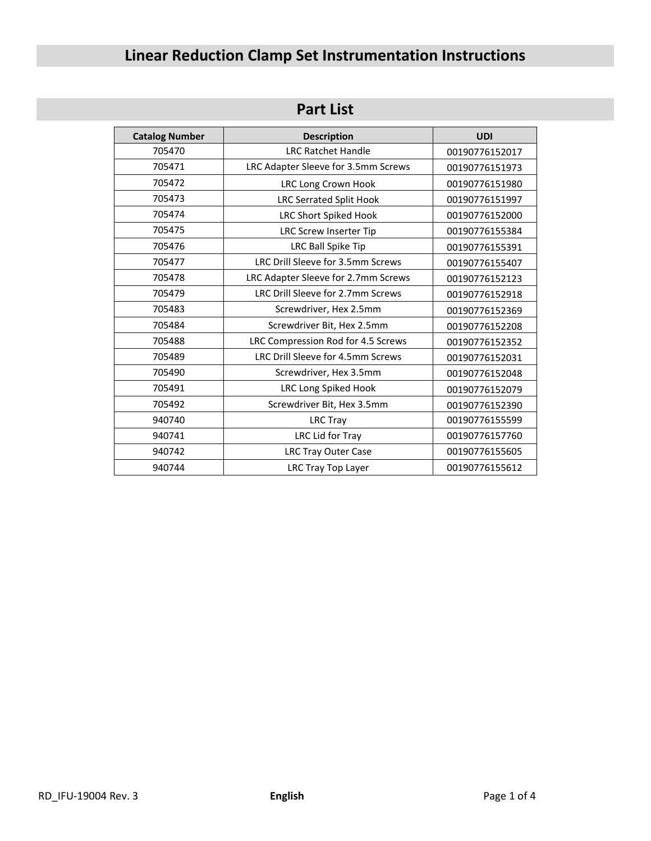# **Linear Reduction Clamp Set Instrumentation Instructions**

# **Part List**

| <b>Catalog Number</b> | <b>Description</b>                  | <b>UDI</b>     |
|-----------------------|-------------------------------------|----------------|
| 705470                | <b>LRC Ratchet Handle</b>           | 00190776152017 |
| 705471                | LRC Adapter Sleeve for 3.5mm Screws | 00190776151973 |
| 705472                | <b>LRC Long Crown Hook</b>          | 00190776151980 |
| 705473                | <b>LRC Serrated Split Hook</b>      | 00190776151997 |
| 705474                | LRC Short Spiked Hook               | 00190776152000 |
| 705475                | LRC Screw Inserter Tip              | 00190776155384 |
| 705476                | LRC Ball Spike Tip                  | 00190776155391 |
| 705477                | LRC Drill Sleeve for 3.5mm Screws   | 00190776155407 |
| 705478                | LRC Adapter Sleeve for 2.7mm Screws | 00190776152123 |
| 705479                | LRC Drill Sleeve for 2.7mm Screws   | 00190776152918 |
| 705483                | Screwdriver, Hex 2.5mm              | 00190776152369 |
| 705484                | Screwdriver Bit, Hex 2.5mm          | 00190776152208 |
| 705488                | LRC Compression Rod for 4.5 Screws  | 00190776152352 |
| 705489                | LRC Drill Sleeve for 4.5mm Screws   | 00190776152031 |
| 705490                | Screwdriver, Hex 3.5mm              | 00190776152048 |
| 705491                | LRC Long Spiked Hook                | 00190776152079 |
| 705492                | Screwdriver Bit, Hex 3.5mm          | 00190776152390 |
| 940740                | <b>LRC Tray</b>                     | 00190776155599 |
| 940741                | LRC Lid for Tray                    | 00190776157760 |
| 940742                | LRC Tray Outer Case                 | 00190776155605 |
| 940744                | LRC Tray Top Layer                  | 00190776155612 |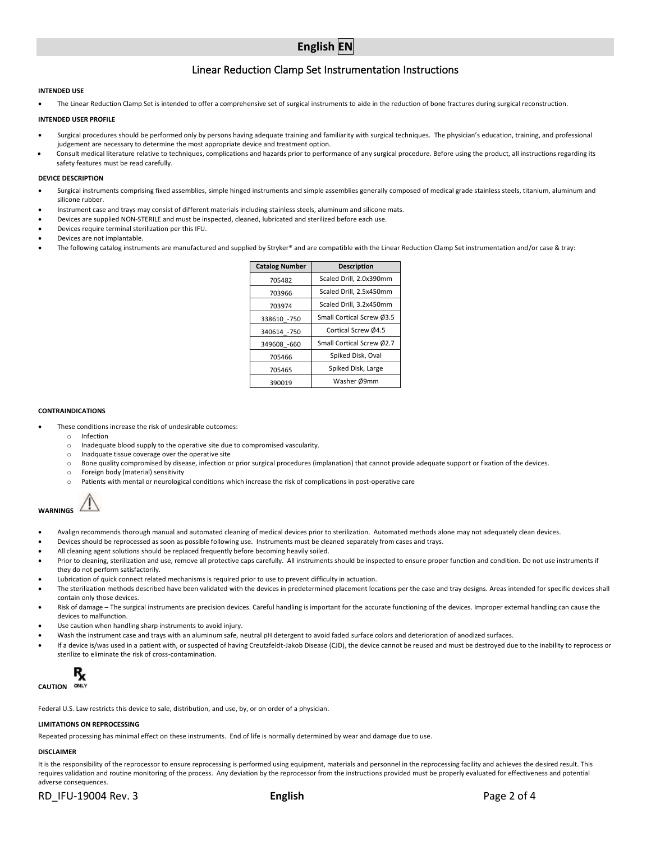# **English EN**

# Linear Reduction Clamp Set Instrumentation Instructions

#### **INTENDED USE**

• The Linear Reduction Clamp Set is intended to offer a comprehensive set of surgical instruments to aide in the reduction of bone fractures during surgical reconstruction.

#### **INTENDED USER PROFILE**

- Surgical procedures should be performed only by persons having adequate training and familiarity with surgical techniques. The physician's education, training, and professional judgement are necessary to determine the most appropriate device and treatment option.
- Consult medical literature relative to techniques, complications and hazards prior to performance of any surgical procedure. Before using the product, all instructions regarding its safety features must be read carefully.

#### **DEVICE DESCRIPTION**

- Surgical instruments comprising fixed assemblies, simple hinged instruments and simple assemblies generally composed of medical grade stainless steels, titanium, aluminum and silicone rubber.
- Instrument case and trays may consist of different materials including stainless steels, aluminum and silicone mats.
- Devices are supplied NON-STERILE and must be inspected, cleaned, lubricated and sterilized before each use.
- Devices require terminal sterilization per this IFU.
- Devices are not implantable.
- The following catalog instruments are manufactured and supplied by Stryker® and are compatible with the Linear Reduction Clamp Set instrumentation and/or case & tray:

| <b>Catalog Number</b> | <b>Description</b>        |  |
|-----------------------|---------------------------|--|
| 705482                | Scaled Drill, 2.0x390mm   |  |
| 703966                | Scaled Drill, 2.5x450mm   |  |
| 703974                | Scaled Drill, 3.2x450mm   |  |
| 338610 -750           | Small Cortical Screw Ø3.5 |  |
| 340614 -750           | Cortical Screw Ø4.5       |  |
| 349608 -660           | Small Cortical Screw Ø2.7 |  |
| 705466                | Spiked Disk, Oval         |  |
| 705465                | Spiked Disk, Large        |  |
| 390019                | Washer Ø9mm               |  |

#### **CONTRAINDICATIONS**

- These conditions increase the risk of undesirable outcomes:
	- o Infection
	- Inadequate blood supply to the operative site due to compromised vascularity.
	- o Inadquate tissue coverage over the operative site
	- o Bone quality compromised by disease, infection or prior surgical procedures (implanation) that cannot provide adequate support or fixation of the devices.
	- o Foreign body (material) sensitivity
	- Patients with mental or neurological conditions which increase the risk of complications in post-operative care



- Avalign recommends thorough manual and automated cleaning of medical devices prior to sterilization. Automated methods alone may not adequately clean devices.
- Devices should be reprocessed as soon as possible following use. Instruments must be cleaned separately from cases and trays.
- All cleaning agent solutions should be replaced frequently before becoming heavily soiled.
- Prior to cleaning, sterilization and use, remove all protective caps carefully. All instruments should be inspected to ensure proper function and condition. Do not use instruments if they do not perform satisfactorily.
- Lubrication of quick connect related mechanisms is required prior to use to prevent difficulty in actuation.
- The sterilization methods described have been validated with the devices in predetermined placement locations per the case and tray designs. Areas intended for specific devices shall contain only those devices.
- Risk of damage The surgical instruments are precision devices. Careful handling is important for the accurate functioning of the devices. Improper external handling can cause the devices to malfunction.
- Use caution when handling sharp instruments to avoid injury.
- Wash the instrument case and trays with an aluminum safe, neutral pH detergent to avoid faded surface colors and deterioration of anodized surfaces.
- If a device is/was used in a patient with, or suspected of having Creutzfeldt-Jakob Disease (CJD), the device cannot be reused and must be destroyed due to the inability to reprocess or sterilize to eliminate the risk of cross-contamination.



Federal U.S. Law restricts this device to sale, distribution, and use, by, or on order of a physician.

#### **LIMITATIONS ON REPROCESSING**

Repeated processing has minimal effect on these instruments. End of life is normally determined by wear and damage due to use.

# **DISCLAIMER**

It is the responsibility of the reprocessor to ensure reprocessing is performed using equipment, materials and personnel in the reprocessing facility and achieves the desired result. This requires validation and routine monitoring of the process. Any deviation by the reprocessor from the instructions provided must be properly evaluated for effectiveness and potential adverse consequences.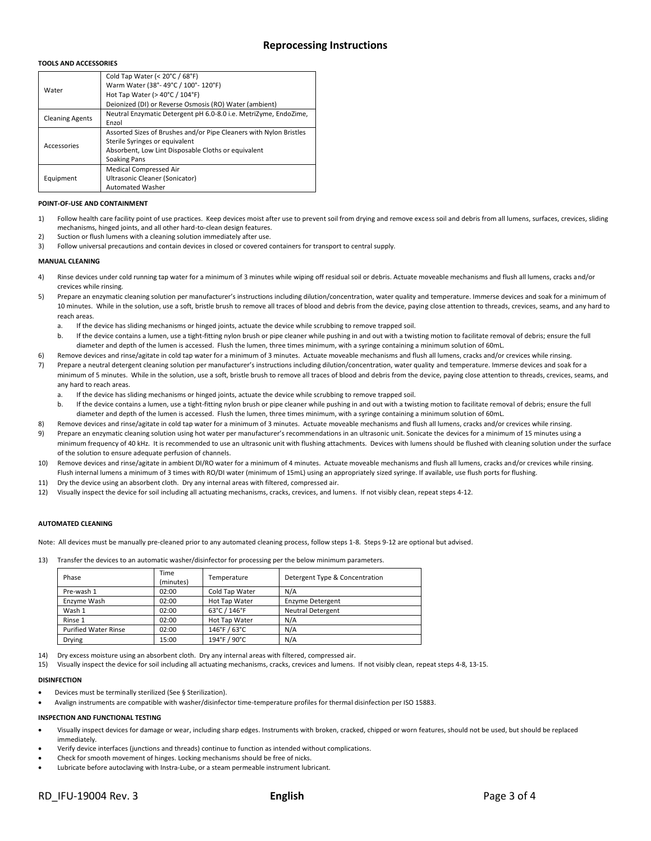# **TOOLS AND ACCESSORIES**

|                        | Cold Tap Water (< 20°C / 68°F)                                     |  |
|------------------------|--------------------------------------------------------------------|--|
| Water                  | Warm Water (38°-49°C / 100°-120°F)                                 |  |
|                        | Hot Tap Water ( $>$ 40 $^{\circ}$ C / 104 $^{\circ}$ F)            |  |
|                        | Deionized (DI) or Reverse Osmosis (RO) Water (ambient)             |  |
| <b>Cleaning Agents</b> | Neutral Enzymatic Detergent pH 6.0-8.0 i.e. MetriZyme, EndoZime,   |  |
|                        | Enzol                                                              |  |
| Accessories            | Assorted Sizes of Brushes and/or Pipe Cleaners with Nylon Bristles |  |
|                        | Sterile Syringes or equivalent                                     |  |
|                        | Absorbent, Low Lint Disposable Cloths or equivalent                |  |
|                        | <b>Soaking Pans</b>                                                |  |
|                        | Medical Compressed Air                                             |  |
| Equipment              | Ultrasonic Cleaner (Sonicator)                                     |  |
|                        | <b>Automated Washer</b>                                            |  |

#### **POINT-OF-USE AND CONTAINMENT**

- 1) Follow health care facility point of use practices. Keep devices moist after use to prevent soil from drying and remove excess soil and debris from all lumens, surfaces, crevices, sliding mechanisms, hinged joints, and all other hard-to-clean design features.
- 2) Suction or flush lumens with a cleaning solution immediately after use.
- 3) Follow universal precautions and contain devices in closed or covered containers for transport to central supply.

# **MANUAL CLEANING**

- 4) Rinse devices under cold running tap water for a minimum of 3 minutes while wiping off residual soil or debris. Actuate moveable mechanisms and flush all lumens, cracks and/or crevices while rinsing.
- 5) Prepare an enzymatic cleaning solution per manufacturer's instructions including dilution/concentration, water quality and temperature. Immerse devices and soak for a minimum of 10 minutes. While in the solution, use a soft, bristle brush to remove all traces of blood and debris from the device, paying close attention to threads, crevices, seams, and any hard to reach areas.
	- a. If the device has sliding mechanisms or hinged joints, actuate the device while scrubbing to remove trapped soil.
	- b. If the device contains a lumen, use a tight-fitting nylon brush or pipe cleaner while pushing in and out with a twisting motion to facilitate removal of debris; ensure the full diameter and depth of the lumen is accessed. Flush the lumen, three times minimum, with a syringe containing a minimum solution of 60mL.
- 6) Remove devices and rinse/agitate in cold tap water for a minimum of 3 minutes. Actuate moveable mechanisms and flush all lumens, cracks and/or crevices while rinsing.
- 7) Prepare a neutral detergent cleaning solution per manufacturer's instructions including dilution/concentration, water quality and temperature. Immerse devices and soak for a minimum of 5 minutes. While in the solution, use a soft, bristle brush to remove all traces of blood and debris from the device, paying close attention to threads, crevices, seams, and any hard to reach areas.
	- a. If the device has sliding mechanisms or hinged joints, actuate the device while scrubbing to remove trapped soil.
	- b. If the device contains a lumen, use a tight-fitting nylon brush or pipe cleaner while pushing in and out with a twisting motion to facilitate removal of debris; ensure the full diameter and depth of the lumen is accessed. Flush the lumen, three times minimum, with a syringe containing a minimum solution of 60mL.
- 8) Remove devices and rinse/agitate in cold tap water for a minimum of 3 minutes. Actuate moveable mechanisms and flush all lumens, cracks and/or crevices while rinsing.
- 9) Prepare an enzymatic cleaning solution using hot water per manufacturer's recommendations in an ultrasonic unit. Sonicate the devices for a minimum of 15 minutes using a minimum frequency of 40 kHz. It is recommended to use an ultrasonic unit with flushing attachments. Devices with lumens should be flushed with cleaning solution under the surface of the solution to ensure adequate perfusion of channels.
- 10) Remove devices and rinse/agitate in ambient DI/RO water for a minimum of 4 minutes. Actuate moveable mechanisms and flush all lumens, cracks and/or crevices while rinsing. Flush internal lumens a minimum of 3 times with RO/DI water (minimum of 15mL) using an appropriately sized syringe. If available, use flush ports for flushing.
- 11) Dry the device using an absorbent cloth. Dry any internal areas with filtered, compressed air.
- 12) Visually inspect the device for soil including all actuating mechanisms, cracks, crevices, and lumens. If not visibly clean, repeat steps 4-12.

# **AUTOMATED CLEANING**

Note: All devices must be manually pre-cleaned prior to any automated cleaning process, follow steps 1-8. Steps 9-12 are optional but advised.

13) Transfer the devices to an automatic washer/disinfector for processing per the below minimum parameters.

| Phase                       | Time<br>(minutes) | Temperature    | Detergent Type & Concentration |
|-----------------------------|-------------------|----------------|--------------------------------|
| Pre-wash 1                  | 02:00             | Cold Tap Water | N/A                            |
| Enzyme Wash                 | 02:00             | Hot Tap Water  | Enzyme Detergent               |
| Wash 1                      | 02:00             | 63°C / 146°F   | <b>Neutral Detergent</b>       |
| Rinse 1                     | 02:00             | Hot Tap Water  | N/A                            |
| <b>Purified Water Rinse</b> | 02:00             | 146°F / 63°C   | N/A                            |
| <b>Drying</b>               | 15:00             | 194°F / 90°C   | N/A                            |

Dry excess moisture using an absorbent cloth. Dry any internal areas with filtered, compressed air.

15) Visually inspect the device for soil including all actuating mechanisms, cracks, crevices and lumens. If not visibly clean, repeat steps 4-8, 13-15.

#### **DISINFECTION**

- Devices must be terminally sterilized (See § Sterilization).
- Avalign instruments are compatible with washer/disinfector time-temperature profiles for thermal disinfection per ISO 15883.

#### **INSPECTION AND FUNCTIONAL TESTING**

- Visually inspect devices for damage or wear, including sharp edges. Instruments with broken, cracked, chipped or worn features, should not be used, but should be replaced immediately.
- Verify device interfaces (junctions and threads) continue to function as intended without complications.
- Check for smooth movement of hinges. Locking mechanisms should be free of nicks.
- Lubricate before autoclaving with Instra-Lube, or a steam permeable instrument lubricant.